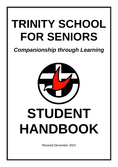# **TRINITY SCHOOL FOR SENIORS**

## *Companionship through Learning*



*Revised December 2021*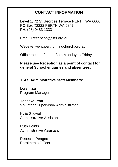## **CONTACT INFORMATION**

Level 1, 72 St Georges Terrace PERTH WA 6000 PO Box X2222 PERTH WA 6847 PH: (08) 9483 1333

Email: [Reception@tsfs.org.au](mailto:Reception@tsfs.org.au)

Website: [www.perthunitingchurch.org.au](http://www.perthunitingchurch.org.au/)

Office Hours: 9am to 3pm Monday to Friday

**Please use Reception as a point of contact for general School enquiries and absentees.**

**TSFS Administrative Staff Members:**

Loren Izzi Program Manager

Taneeka Pratt Volunteer Supervisor/ Administrator

Kylie Stidwell Administrative Assistant

Ruth Points Administrative Assistant

Rebecca Peagno Enrolments Officer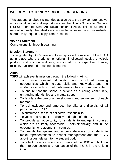### **WELCOME TO TRINITY SCHOOL FOR SENIORS**

This student handbook is intended as a guide to the very comprehensive educational, social and support services that Trinity School for Seniors (TSFS) offers to West Australian senior citizens. This document is revised annually; the latest version can be accessed from our website, alternatively request a copy from Reception.

#### **Vision Statement**

Companionship through Learning

#### **Mission Statement**

To be guided by God's love and to incorporate the mission of the UCIC as a place where students' emotional, intellectual, social, physical, pastoral and spiritual wellbeing are cared for, irrespective of race, religion, background or economic means.

#### **Aims**

TSFS will achieve its mission through the following Aims:

- To provide relevant, stimulating and structured learning opportunities which increase skills and knowledge and the students' capacity to contribute meaningfully to community life.
- To ensure that the school functions as a caring community, enhancing friendships and mutual support.
- To facilitate the personal development and self-esteem of each member.
- To acknowledge and embrace the gifts and diversity of all participants at TSFS.
- To stimulate a sense of collective responsibility.
- To value and respect the dignity and rights of others.
- To provide an opportunity for students to engage in courses which are equitably accessible – both financially and in the opportunity for placement in courses.
- To provide transparent and appropriate ways for students to make representations to school management and the UCIC about issues relevant to the student body.
- To reflect the ethos, vision and mission of the UCIC and build on the interconnection and foundation of the TSFS in the Uniting Church.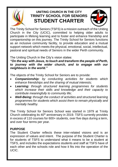

## **UNITING CHURCH IN THE CITY TRINITY SCHOOL FOR SENIORS STUDENT CHARTER**



The Trinity School for Seniors (TSFS) is a mission outreach of the Uniting Church in the City (UCIC), committed to helping older adults to participate in lifelong learning and to foster and enhance friendship and companionship on this journey. The Trinity School for Seniors functions as an inclusive community facility, to provide education and a mutual support network which meets the physical, emotional, social, intellectual, pastoral and spiritual needs of Seniors in the wider Perth community.

The Uniting Church in the City's vision states:

*"On the way with Jesus, to touch and transform the people of Perth, to journey with the wider church, and to engage with our neighbours in the world."*

The objects of the Trinity School for Seniors are to provide:

- *Companionship: by conducting activities for students which enhance friendships and the sharing of mutual interests;*
- *Learning: through structured learning programmes for students which increase their skills and knowledge and their capacity to contribute meaningfully to community life;*
- *Well-Being: through the conduct of activities and structured learning programmes for students which assist them to remain physically and mentally healthy.*

The Trinity School for Seniors School was started in 1979 at Trinity Church celebrating its 40<sup>th</sup> anniversary in 2019. TSFS currently provides in excess of 110 courses for 600+ students, over five days during a term, and over four terms per year.

#### **PURPOSE**

The Student Charter reflects these inter-related visions and is an expression of values and intent. The purpose of the Student Charter is for students of TSFS to understand what it means to be a student at TSFS, and includes the expectations students and staff at TSFS have of each other and the schools role and how it fits into the operation of the UCIC.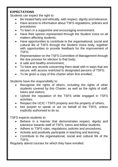#### **EXPECTATIONS**

Students can expect the right to:

- Be treated fairly and ethically, with respect, dignity and tolerance;
- Have access to information about TSFS regulations, policies and procedures;
- To learn in a supportive and encouraging environment;
- Have their opinion represented through the Student Voice on all matters affecting students;
- Have opportunities to contribute to the organisational, social and cultural life of TSFS through the Student Voice body, together with opportunities to provide feedback for the improvement of TSFS;
- Representation on the TSFS Committee of Management through the due process for election to that body;
- A safe and healthy environment;
- To have any records concerning them dealt with in ways that are secure, with access restricted to designated persons of TSFS;
- To be given a copy of this charter when first enrolled;

Students have the responsibility to:

- Recognise the rights of others, including the rights of other students covered by this Charter, as well as the rights of staff, tutors and visitors;
- Uphold the reputation of the TSFS while engaged in TSFS activities;
- Respect the UCIC / TSFS property and the property of others;
- Not purport to speak or act on behalf of the TSFS, unless explicitly authorised to do so.

TSFS expects students to:

- Behave in a manner that demonstrates respect, dignity and tolerance towards staff of TSFS, tutors and fellow students;
- Adhere to TSFS rules, regulations, policies and procedures;
- Actively and positively participate in teaching and learning;
- Contribute to the organisational, social and cultural life of the TSFS;

Regularly attend courses for which they have enrolled.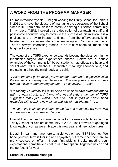## **A WORD FROM THE PROGRAM MANAGER**

Let me introduce myself… I began working for Trinity School for Seniors in 2011 and have the pleasure of managing the operations of the School since 2016. I am enthusiastic to continue serving our school community in my role at TSFS, inspired by the dedication of our teaching staff and passionate about working to continue the success of this mission. It is a privilege and a joy to interact and learn from the effervescent, kindhearted and diverse members that make up our School community. There's always interesting stories to be told, wisdom to impart and laughter to be shared.

The value of the TSFS experience extends beyond the classroom in the friendships forged and experiences shared. Below are a couple examples of the comments left by our students that reflects the heart and soul of what TSFS is all about… friendship, meaningful connections, and maintaining a healthy mind, body and spirit.

*"I value the time given by all your volunteer tutors and I especially value the friendships of everyone. I have found that everyone comes into class with an inclusive and sharing attitude…it's so lovely."* – Claire

*"On retiring, I suddenly felt quite alone as endless days stretched ahead with no work structure. A friend who was already a member of TSFS suggested that I join. Which I did, and I am so glad as I have been rewarded with learning new things and lots of new friends."* – Liz

*"The learning is almost incidental to the fun and friendship we have with our teachers and classmates!"* – Joan

I would like to extend a warm welcome to our new students joining the Trinity School for Seniors community in 2022. I look forward to getting to know each of you as we embrace this new year and new adventures.

My admin team and I are here to assist you on your TSFS journey. We hope your first term is fulfilling and enjoyable, but remember there are so many courses on offer – if your first pick isn't quite meeting your expectations, come have a chat to us in Reception. Together we can find the perfect fit for you!

**Loren Izzi, Program Manager**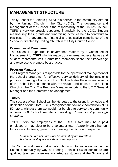## **MANAGEMENT STRUCTURE**

Trinity School for Seniors (TSFS) is a service to the community offered by the Uniting Church in the City (UCIC). The governance and management of the School is the responsibility of the Church Council. TSFS is very generously supported financially by the UCIC. Student membership fees, grants and fundraising activities help to contribute to this cost. The governance, financial and legislative compliance of the School is directed by Uniting Church in the City Church Council.

#### **Committee of Management**

The School is supported in governance matters by a Committee of Management for TSFS which is made up of external representatives and student representatives. Committee members share their knowledge and expertise to promote best practice.

#### **Program Manager**

The Program Manager is responsible for the operational management of the school's programs, for effective service delivery of the mission's purpose. Ensuring all activity of the TSFS facilitates the aims and objects of the School in accordance with the values and ethos of the Uniting Church in the City. The Program Manager reports to the UCIC General Manager and the Committee of Management.

#### **Tutors**

The success of our School can be attributed to the talent, knowledge and dedication of our tutors. TSFS recognises the valuable contribution of its 50 tutors; without them we would not be able to service the community of over 500 School members providing *Companionship through Learning*.

TSFS Tutors are employees of the UCIC. Tutors may be a paid employee or may elect to be a volunteer tutor. Approximately half our tutors are volunteers, generously donating their time and expertise.

> *Volunteers are not paid – not because they are worthless, but because they are priceless.* ~ Anonymous

The School welcomes individuals who wish to volunteer within the School community by way of tutoring a class. Few of our tutors are qualified teachers; often many started as students at the School and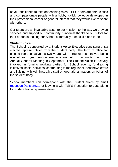have transitioned to take on teaching roles. TSFS tutors are enthusiastic and compassionate people with a hobby, skill/knowledge developed in their professional career or general interest that they would like to share with others.

Our tutors are an invaluable asset to our mission, to the way we provide services and support our community. Sincerest thanks to our tutors for their efforts in making our School community a special place to be.

#### **Student Voice**

The School is supported by a Student Voice Executive consisting of six elected representatives from the student body. The term of office for elected representatives is two years, with three representatives being elected each year. Annual elections are held in conjunction with the Annual General Meeting in September. The Student Voice is actively involved in forming working parties for School events, fundraising initiatives, social activities, contributing to the regular student newsletters and liaising with Administrative staff on operational matters on behalf of the student body.

School members can correspond with the Student Voice by email [reception@tsfs.org.au](mailto:reception@tsfs.org.au) or leaving a with TSFS Reception to pass along to Student Voice representatives.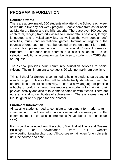## **PROGRAM INFORMATION**

#### **Courses Offered**

There are approximately 500 students who attend the School each week as we run a five day per week program. People come from as far afield as Mandurah, Butler and the hills suburbs. There are over 100 courses each term, ranging from art classes to current affairs sessions, foreign languages and physical activities, as well as the very popular craft activities, music and recreational games. Information regarding the courses offered each term can be located on the enrolment form. Brief course descriptions can be found in the annual Course Information Brochure to introduce new courses and assist students in class selection. Additional information can be given to students by TSFS staff on request.

The School provides adult community education services to senior citizens. The minimum entrance age is 60 with no maximum age limit.

Trinity School for Seniors is committed to helping students participate in a wide range of classes that will be intellectually stimulating; we offer opportunities to exercise creativity, to learn a new language or practice a hobby or craft in a group. We encourage students to maintain their physical activity and also to take time to catch up with friends. There are no exams and no certificates of achievement. There is a great deal of fun, laughter and support for one another.

#### **Enrolment Information**

All existing students need to complete an enrolment form prior to term commencing. Enrolment information is released one week prior to the commencement of processing enrolments (November of the prior school year).

Forms can be collected from Reception, Main Hall at Trinity and Queens Buildings, or downloaded from our website [www.perthunitingchurch.org.au.](http://www.perthunitingchurch.org.au/) All courses remain open for enrolments until the course end date.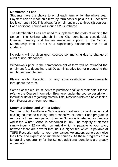#### **Membership Fees**

Students have the choice to enrol each term or for the whole year. Payment can be made on a term-by-term basis or paid in full. Each term fee is currently \$90. This allows for enrolment in up to three (3) courses. Each additional course will incur a \$20 surcharge.

The Membership Fees are used to supplement the costs of running the School. The Uniting Church in the City contributes considerable financial, tenancy and human resources support to the School. Membership fees are set at a significantly discounted rate for all students.

No refund will be given upon courses commencing due to change of mind or non-attendance.

Withdrawals prior to the commencement of term will be refunded the enrolment fee, deducting a \$5.00 administrative fee for processing the reimbursement cheque.

Please notify Reception of any absences/holiday arrangements throughout the term.

Some classes require students to purchase additional materials. Please refer to the Course Information Brochure, under the course description, for further details regarding material lists. Materials lists can be collected from Reception or from your tutor.

#### **Summer School and Winter School**

Summer School and Winter School are a great way to introduce new and exciting courses to existing and prospective students. Each program is run over a three week period; Summer School is timetabled for January whilst the Winter School is scheduled in July. The majority of classes simply incur a \$2 donation on arrival which is payable to your tutor, however there are several that incur a higher fee which is payable at TSFS Reception prior to your attendance. Volunteers generously give their time and expertise to run these courses. As these programs are a fundraising opportunity for the School, additional donations are greatly appreciated.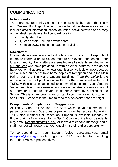## **COMMUNICATION**

#### **Noticeboards**

There are several Trinity School for Seniors noticeboards in the Trinity and Queens Buildings. The information found on these noticeboards includes official information, school activities, social activities and a copy of the latest newsletters. Noticeboard locations:

- Trinity Main Hall
- Queens Main Hall (on a whiteboard)
- Outside UCIC Reception, Queens Building

#### **Newsletters**

Our newsletters are distributed fortnightly during the term to keep School members informed about School matters and events happening in our local community. Newsletters are emailed to all students enrolled in the current year who have provided us with an email address. If we do not have your email address, the newsletter is also available on noticeboards and a limited number of take-home copies at Reception and in the Main Hall of both the Trinity and Queens Buildings. *From the Office* is the name of our school publication, written by the administrative team at TSFS, with a section dedicated to communication from your Student Voice Executive. These newsletters contain the latest information about all operational matters relevant to students currently enrolled at the School. This is an important way for staff to communicate with students and tutors. Please take the time to read this newsletter each fortnight.

#### **Compliments, Complaints and Suggestions**

At Trinity School for Seniors, the Staff welcome your comments in person or in writing. Questions or problems can be resolved by asking TSFS staff members at Reception. Support is available Monday to Friday during office hours (9am – 3pm). Outside office hours, students may email [Reception@tsfs.org.au](mailto:Reception@tsfs.org.au) or leave a telephone message and a staff member will respond to your enquiry at their earliest opportunity.

To correspond with your Student Voice representatives, email [reception@tsfs.org.au](mailto:reception@tsfs.org.au) or leaving a with TSFS Reception to pass along to Student Voice representatives.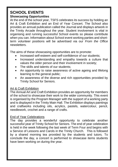#### **SCHOOL EVENTS Showcasing Opportunities**

At the end of the school year, TSFS celebrates its success by holding an Art & Craft Exhibition and an End of Year Concert. The School also provides an annual publication called the Journal and displays artwork in the Trinity Arcade throughout the year. Student involvement is vital in organising and running successful School events so please contribute when you can. Information about School event working parties and shortterm volunteer positions will be advertised via our *From the Office* newsletters.

The aims of these showcasing opportunities are to promote:

- Increased self-esteem and self-confidence of our students:
- Increased understanding and empathy towards a culture that values the older person and their involvement in society;
- The skills and talents of our students:
- An opportunity to raise awareness of active ageing and lifelong learning to the general public;
- An awareness of the diverse and rich opportunities provided by Trinity School for Seniors.

#### Art & Craft Exhibition

The Annual Art and Craft Exhibition provides an opportunity for members of the school to showcase their work to the wider community. This event is organised by the Program Manager with the support of a working party and is displayed in the Trinity Main Hall. The Exhibition displays paintings and craftworks including oils, acrylics, pastels, watercolour, pencil, needlework, crochet and a range of crafts.

#### End of Year Celebrations

The day provides a wonderful opportunity to celebrate another successful year of Trinity School for Seniors. The end of year celebration is held in the week following the last week of Term Four and begins with a Service of Lessons and Carols in the Trinity Church. This is followed by a shared morning tea provided by the students and tutors. To conclude the day, a concert is performed to showcase items students have been working on during the year.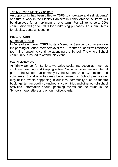#### Trinity Arcade Display Cabinets

An opportunity has been gifted to TSFS to showcase and sell students' and tutors' work in the Display Cabinets in Trinity Arcade. All items will be displayed for a maximum of one term. For all items sold, 20% commission will go to TSFS for fundraising purposes. To submit items for display, contact Reception.

#### **Pastoral Care**

#### Memorial Service

In June of each year, TSFS hosts a Memorial Service to commemorate the passing of School members over the 12 months prior as well as those too frail or unwell to continue attending the School. The whole School community is invited to attend this event.

#### **Social Activities**

At Trinity School for Seniors, we value social interaction as much as continued learning and keeping active. Social activities are an integral part of the School, run primarily by the Student Voice Committee and volunteers. Social activities may be organised on School premises or may utilise events happening in our local community such as theatre bookings, ten pin bowling, luncheons, coach trips and other out-of-school activities. Information about upcoming events can be found in the School's newsletters and on our noticeboards.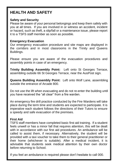## **HEALTH AND SAFETY**

#### **Safety and Security**

Please be aware of your personal belongings and keep them safely with you at all times. If you are involved in or witness an accident, incident or hazard, such as theft, a slip/fall or a maintenance issue, please report it to a TSFS staff member as soon as possible.

#### **Emergency Evacuation**

Our emergency evacuation procedure and site maps are displayed in the corridors and in most classrooms in the Trinity and Queens Buildings.

Please ensure you are aware of the evacuation procedures and assembly points in case of an emergency.

**Trinity Building Assembly Point:** Left onto St Georges Terrace, assembling outside 66 St Georges Terrace, near the AusPost sign.

**Queens Building Assembly Point:** Left onto Wolf Lane, assembling outside the entrance of Arcade 800.

Do not use the lift when evacuating and do not re-enter the building until you have received the "all clear" from a fire warden.

An emergency fire drill practice conducted by the Fire Wardens will take place during the term time and students are expected to participate. It is imperative each student follows the directions of their Tutors to ensure a speedy and safe evacuation of the premises.

#### **First Aid**

TSFS staff members have completed basic first aid training. If a student feels unwell or has a minor fall that requires attention, this will be dealt with in accordance with our first aid procedures. An ambulance will be called to assist them, if necessary. Alternatively, the student will be provided with a taxi voucher to take them to their general practitioner or their home (whichever is suitable). After a medical incident, it is advisable that students seek medical attention by their own doctor before returning to School.

If you feel an ambulance is required please don't hesitate to call 000.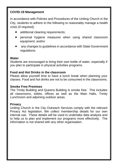#### **COVID-19 Management**

In accordance with Policies and Procedures of the Uniting Church in the City, students to adhere to the following to reasonably manage a health crisis (if required):

- additional cleaning requirements;
- personal hygiene measures when using shared classroom equipment; and/or
- any changes to guidelines in accordance with State Government regulations.

#### **Water**

Students are encouraged to bring their own bottle of water, especially if you plan to participate in physical activities programs.

#### **Food and Hot Drinks in the classroom**

Please allow yourself time to have a lunch break when planning your classes. Food and hot drinks are not to be consumed in the classrooms.

#### **Smoke Free Premises**

The Trinity Building and Queens Building is smoke free. This includes all classrooms, toilets, offices as well as the Main Halls, Trinity Lunchroom and adjoining outdoor areas.

#### **Privacy**

Uniting Church in the City Outreach Services comply with the relevant Privacy Act legislation. We collect membership details for our own internal use. These details will be used to undertake data analysis and to help us to plan and implement our programs more effectively. The information is not shared with any other organisation.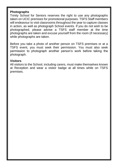#### **Photographs**

Trinity School for Seniors reserves the right to use any photographs taken on UCIC premises for promotional purposes. TSFS Staff members will endeavour to visit classrooms throughout the year to capture classes in action, as well as photograph School events. If you do not wish to be photographed, please advise a TSFS staff member at the time photographs are taken and excuse yourself from the room (if necessary) while photographs are taken.

Before you take a photo of another person on TSFS premises or at a TSFS event, you must seek their permission. You must also seek permission to photograph another person's work before taking the photograph.

#### **Visitors**

All visitors to the School, including carers, must make themselves known at Reception and wear a visitor badge at all times while on TSFS premises.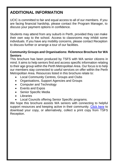## **ADDITIONAL INFORMATION**

UCIC is committed to fair and equal access to all of our members. If you are facing financial hardship, please contact the Program Manager, to discuss your payment options in confidence.

Students may attend from any suburb in Perth, provided they can make their own way to the school. Access to classrooms may inhibit some individuals. If you have any mobility concerns, please contact Reception to discuss further or arrange a tour of our facilities.

#### **Community Groups and Organisations: Reference Brochure for WA Seniors**

This brochure has been produced by TSFS with WA senior citizens in mind. It aims to help seniors find and access specific information relating to their age group within the Perth Metropolitan Area. Our focus is to help our members stay connected to useful services on offer within the Perth Metropolitan Area. Resources listed in this brochure relate to:

- Local Community Centres, Groups and Clubs
- Organisations, Support Agencies and Groups
- Computer and Technology
- Events and Expos
- Senior Specific Media
- Libraries
- Local Councils offering Senior Specific programs.

We hope this brochure assists WA seniors with connecting to helpful support resources and keeping active in their community. [Click here](file:///C:/Users/loren.izzi.UCIC/Uniting%20Church%20in%20the%20City/Trinity%20School%20For%20Seniors%20-%20Documents/Admin/Community%20Brochures/TSFS%20Brochures/TSFS%20Community%20Reference%20Brochure%202019.pdf) to download your copy, or alternatively, collect a print copy from TSFS Reception.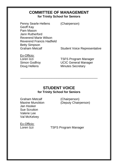#### **COMMITTEE OF MANAGEMENT for Trinity School for Seniors**

Penny Searle-Hellens (Chairperson) Geoff Kay Pam Mason Jann Rutherford Reverend Marie Wilson Reverend Francis Hadfield Betty Simpson

Graham Metcalf Student Voice Representative

Ex-Officio:<br>Loren Izzi

Loren Izzi **Election Control Coren Izzi Election Coren**<br>
UCIC General Manager<br>
UCIC General Manager **UCIC General Manager** Doug Hellens Minutes Secretary

#### **STUDENT VOICE for Trinity School for Seniors**

\_\_\_\_\_\_\_\_\_\_\_\_\_\_\_\_\_\_\_\_\_\_\_\_\_\_\_\_\_\_\_\_\_\_\_\_\_\_\_\_\_\_\_\_\_

Graham Metcalf (Chairperson)<br>
Maxine Munckton (Deputy Chair Jan Hooker Sue Scrutton Valerie Lee Val McKelvey

(Deputy Chairperson)

Ex-Officio:<br>Loren Izzi

**TSFS Program Manager**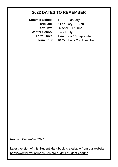## **2022 DATES TO REMEMBER**

**Summer School Term One Term Two Winter School** 5 – 21 July

**Term Three** 1 August – 16 September **Term Four** 10 October – 25 November $11 - 27$  January 7 February – 1 April 26 April – 17 June

*Revised December 2021*

Latest version of this Student Handbook is available from our website: <http://www.perthunitingchurch.org.au/tsfs-student-charter>